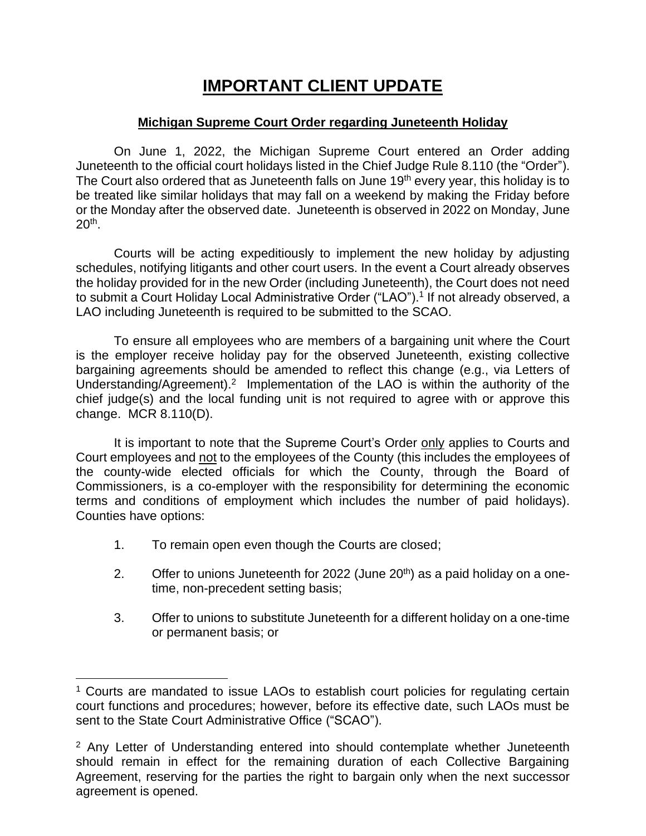## **IMPORTANT CLIENT UPDATE**

### **Michigan Supreme Court Order regarding Juneteenth Holiday**

On June 1, 2022, the Michigan Supreme Court entered an Order adding Juneteenth to the official court holidays listed in the Chief Judge Rule 8.110 (the "Order"). The Court also ordered that as Juneteenth falls on June 19<sup>th</sup> every year, this holiday is to be treated like similar holidays that may fall on a weekend by making the Friday before or the Monday after the observed date. Juneteenth is observed in 2022 on Monday, June 20th .

Courts will be acting expeditiously to implement the new holiday by adjusting schedules, notifying litigants and other court users. In the event a Court already observes the holiday provided for in the new Order (including Juneteenth), the Court does not need to submit a Court Holiday Local Administrative Order ("LAO"). 1 If not already observed, a LAO including Juneteenth is required to be submitted to the SCAO.

To ensure all employees who are members of a bargaining unit where the Court is the employer receive holiday pay for the observed Juneteenth, existing collective bargaining agreements should be amended to reflect this change (e.g., via Letters of Understanding/Agreement).<sup>2</sup> Implementation of the LAO is within the authority of the chief judge(s) and the local funding unit is not required to agree with or approve this change. MCR 8.110(D).

It is important to note that the Supreme Court's Order only applies to Courts and Court employees and not to the employees of the County (this includes the employees of the county-wide elected officials for which the County, through the Board of Commissioners, is a co-employer with the responsibility for determining the economic terms and conditions of employment which includes the number of paid holidays). Counties have options:

- 1. To remain open even though the Courts are closed;
- 2. Offer to unions Juneteenth for 2022 (June  $20<sup>th</sup>$ ) as a paid holiday on a onetime, non-precedent setting basis;
- 3. Offer to unions to substitute Juneteenth for a different holiday on a one-time or permanent basis; or

<sup>&</sup>lt;sup>1</sup> Courts are mandated to issue LAOs to establish court policies for regulating certain court functions and procedures; however, before its effective date, such LAOs must be sent to the State Court Administrative Office ("SCAO").

<sup>&</sup>lt;sup>2</sup> Any Letter of Understanding entered into should contemplate whether Juneteenth should remain in effect for the remaining duration of each Collective Bargaining Agreement, reserving for the parties the right to bargain only when the next successor agreement is opened.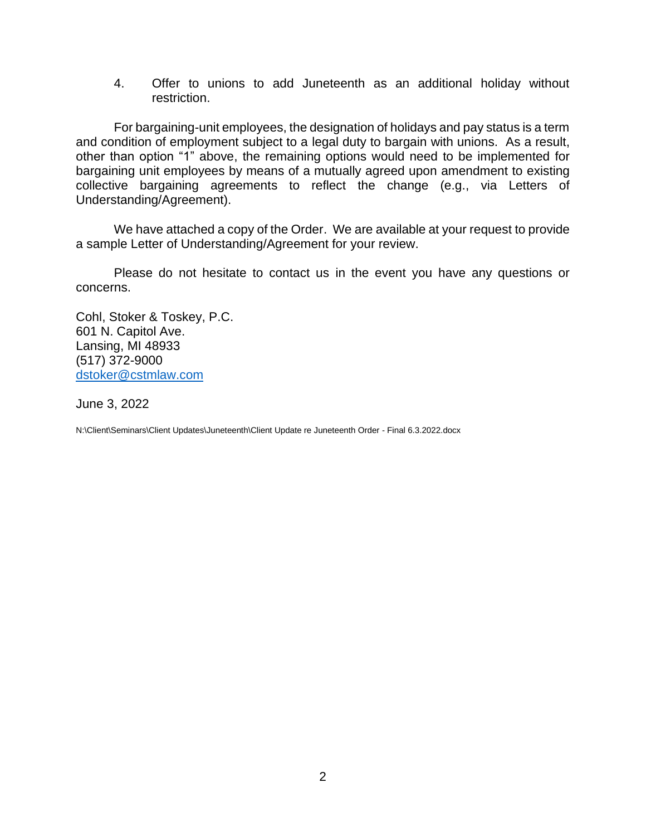4. Offer to unions to add Juneteenth as an additional holiday without restriction.

For bargaining-unit employees, the designation of holidays and pay status is a term and condition of employment subject to a legal duty to bargain with unions. As a result, other than option "1" above, the remaining options would need to be implemented for bargaining unit employees by means of a mutually agreed upon amendment to existing collective bargaining agreements to reflect the change (e.g., via Letters of Understanding/Agreement).

We have attached a copy of the Order. We are available at your request to provide a sample Letter of Understanding/Agreement for your review.

Please do not hesitate to contact us in the event you have any questions or concerns.

Cohl, Stoker & Toskey, P.C. 601 N. Capitol Ave. Lansing, MI 48933 (517) 372-9000 [dstoker@cstmlaw.com](mailto:dstoker@cstmlaw.com)

June 3, 2022

N:\Client\Seminars\Client Updates\Juneteenth\Client Update re Juneteenth Order - Final 6.3.2022.docx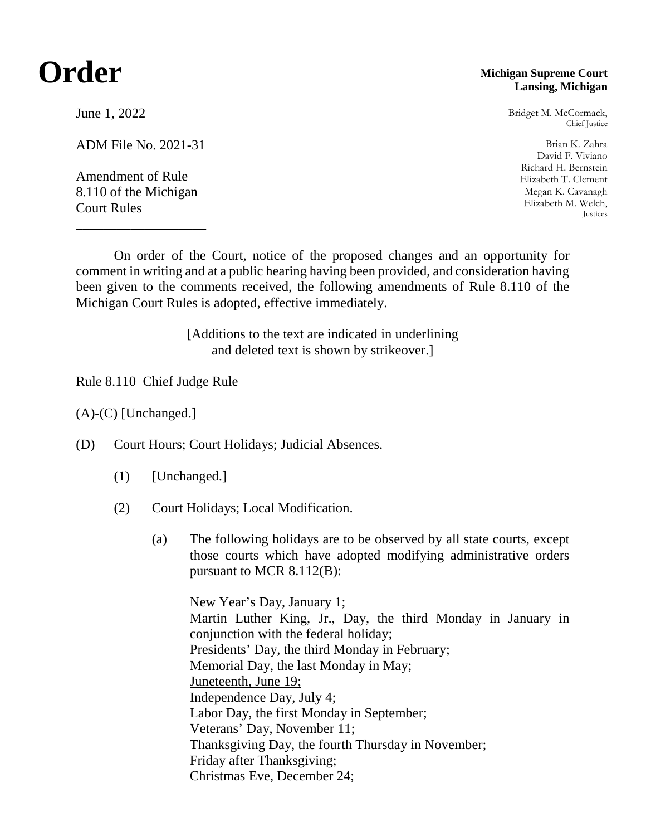# **Order**

### June 1, 2022

ADM File No. 2021-31

Amendment of Rule 8.110 of the Michigan Court Rules

\_\_\_\_\_\_\_\_\_\_\_\_\_\_\_\_\_\_\_

#### **Michigan Supreme Court Lansing, Michigan**

Bridget M. McCormack, Chief Justice

Brian K. Zahra David F. Viviano Richard H. Bernstein Elizabeth T. Clement Megan K. Cavanagh Elizabeth M. Welch, Justices

On order of the Court, notice of the proposed changes and an opportunity for comment in writing and at a public hearing having been provided, and consideration having been given to the comments received, the following amendments of Rule 8.110 of the Michigan Court Rules is adopted, effective immediately.

> [Additions to the text are indicated in underlining and deleted text is shown by strikeover.]

Rule 8.110 Chief Judge Rule

(A)-(C) [Unchanged.]

(D) Court Hours; Court Holidays; Judicial Absences.

- (1) [Unchanged.]
- (2) Court Holidays; Local Modification.
	- (a) The following holidays are to be observed by all state courts, except those courts which have adopted modifying administrative orders pursuant to MCR 8.112(B):

New Year's Day, January 1; Martin Luther King, Jr., Day, the third Monday in January in conjunction with the federal holiday; Presidents' Day, the third Monday in February; Memorial Day, the last Monday in May; Juneteenth, June 19; Independence Day, July 4; Labor Day, the first Monday in September; Veterans' Day, November 11; Thanksgiving Day, the fourth Thursday in November; Friday after Thanksgiving; Christmas Eve, December 24;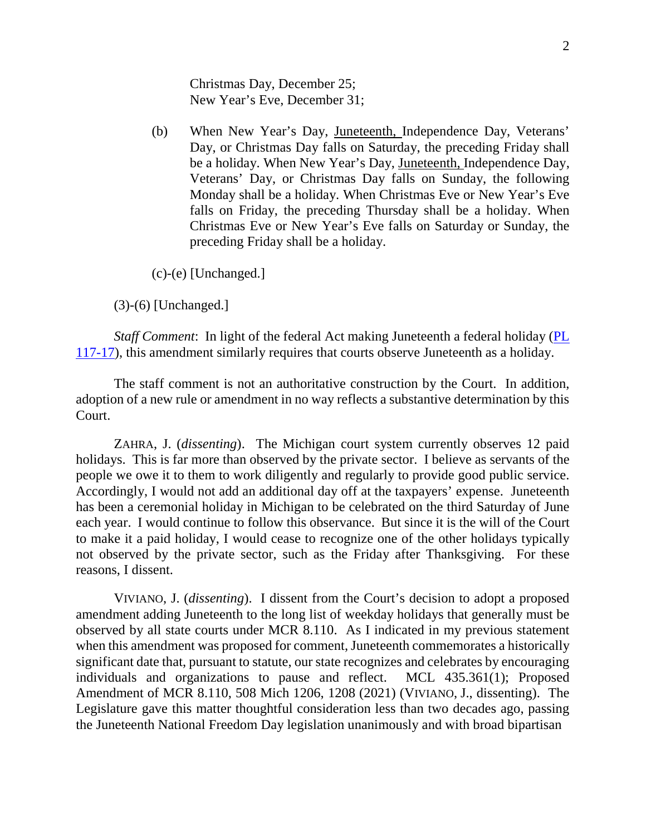Christmas Day, December 25; New Year's Eve, December 31;

(b) When New Year's Day, Juneteenth, Independence Day, Veterans' Day, or Christmas Day falls on Saturday, the preceding Friday shall be a holiday. When New Year's Day, Juneteenth, Independence Day, Veterans' Day, or Christmas Day falls on Sunday, the following Monday shall be a holiday. When Christmas Eve or New Year's Eve falls on Friday, the preceding Thursday shall be a holiday. When Christmas Eve or New Year's Eve falls on Saturday or Sunday, the preceding Friday shall be a holiday.

(c)-(e) [Unchanged.]

(3)-(6) [Unchanged.]

*Staff Comment*: In light of the federal Act making Juneteenth a federal holiday [\(PL](https://www.govinfo.gov/content/pkg/PLAW-117publ17/pdf/PLAW-117publ17.pdf)  [117-17\)](https://www.govinfo.gov/content/pkg/PLAW-117publ17/pdf/PLAW-117publ17.pdf), this amendment similarly requires that courts observe Juneteenth as a holiday.

The staff comment is not an authoritative construction by the Court. In addition, adoption of a new rule or amendment in no way reflects a substantive determination by this Court.

ZAHRA, J. (*dissenting*). The Michigan court system currently observes 12 paid holidays. This is far more than observed by the private sector. I believe as servants of the people we owe it to them to work diligently and regularly to provide good public service. Accordingly, I would not add an additional day off at the taxpayers' expense. Juneteenth has been a ceremonial holiday in Michigan to be celebrated on the third Saturday of June each year. I would continue to follow this observance. But since it is the will of the Court to make it a paid holiday, I would cease to recognize one of the other holidays typically not observed by the private sector, such as the Friday after Thanksgiving. For these reasons, I dissent.

VIVIANO, J. (*dissenting*). I dissent from the Court's decision to adopt a proposed amendment adding Juneteenth to the long list of weekday holidays that generally must be observed by all state courts under MCR 8.110. As I indicated in my previous statement when this amendment was proposed for comment, Juneteenth commemorates a historically significant date that, pursuant to statute, our state recognizes and celebrates by encouraging individuals and organizations to pause and reflect. MCL 435.361(1); Proposed Amendment of MCR 8.110, 508 Mich 1206, 1208 (2021) (VIVIANO, J., dissenting). The Legislature gave this matter thoughtful consideration less than two decades ago, passing the Juneteenth National Freedom Day legislation unanimously and with broad bipartisan